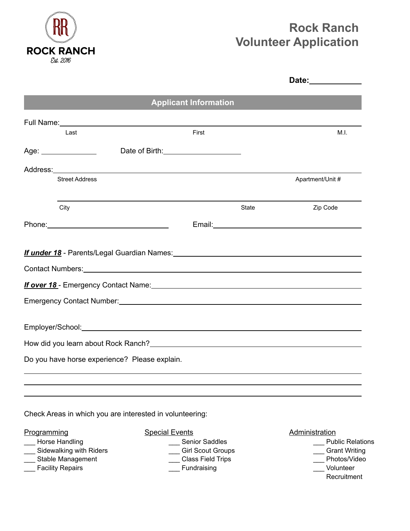

# **Rock Ranch Volunteer Application**

|                                                                                                                                                                                                                                |                              |       | Date:____________ |
|--------------------------------------------------------------------------------------------------------------------------------------------------------------------------------------------------------------------------------|------------------------------|-------|-------------------|
|                                                                                                                                                                                                                                | <b>Applicant Information</b> |       |                   |
| Full Name: <u>Contract Communication</u> Contract Communication Communication Communication Communication                                                                                                                      |                              |       |                   |
| Last                                                                                                                                                                                                                           | First                        |       | M.L.              |
| Age:<br>Date of Birth: 2008                                                                                                                                                                                                    |                              |       |                   |
|                                                                                                                                                                                                                                |                              |       |                   |
| <b>Street Address</b>                                                                                                                                                                                                          |                              |       | Apartment/Unit #  |
| City                                                                                                                                                                                                                           |                              | State | Zip Code          |
|                                                                                                                                                                                                                                |                              |       |                   |
| Contact Numbers: Universe and Secretary Annual Secretary and Secretary Annual Secretary Annual Secretary Annual Secretary Annual Secretary Annual Secretary Annual Secretary Annual Secretary Annual Secretary Annual Secretar |                              |       |                   |
| <b>If over 18</b> - Emergency Contact Name: <u>Cameran Contact Announce</u> Contact Manners Contact Manners Contact Manners                                                                                                    |                              |       |                   |
| Emergency Contact Number: University of the Contract of the Contract of the Contract of the Contract of the Contract of the Contract of the Contract of the Contract of the Contract of the Contract of the Contract of the Co |                              |       |                   |
| Employer/School: example and the state of the state of the state of the state of the state of the state of the                                                                                                                 |                              |       |                   |
|                                                                                                                                                                                                                                |                              |       |                   |
| Do you have horse experience? Please explain.                                                                                                                                                                                  |                              |       |                   |
|                                                                                                                                                                                                                                |                              |       |                   |
|                                                                                                                                                                                                                                |                              |       |                   |

Check Areas in which you are interested in volunteering:

- Programming Special Events **Administration**
- 
- —— Sidewalking with Riders —— Girl Scout Groups —— Grant Writing —— Grant Writing —— Stable Management —— Class Field Trips —— Class Field Trips —— Photos/Video
- \_\_\_<br>
Stable Management
- Latter Theorem Controller Europe Controller Europe Controller Fundraising Theorem Controller Columber 2014
- 
- \_\_\_ Horse Handling dividens and the senior Saddles and the control of the Senior Saddles and the Senior Senior Senior Saddles and Control of the Senior Senior Senior Senior Senior Senior Senior Senior Senior Senior Senior
	-
	-
	-

- 
- 
- - - **Recruitment**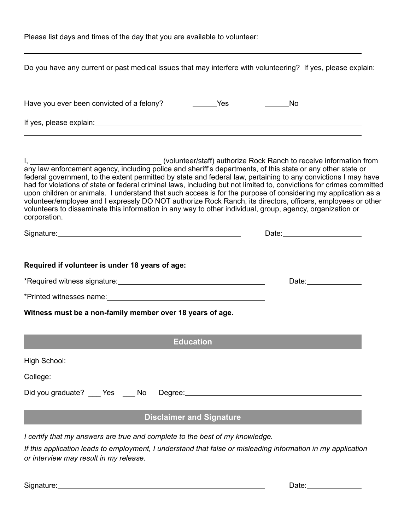Please list days and times of the day that you are available to volunteer:

| Do you have any current or past medical issues that may interfere with volunteering? If yes, please explain:                                                                                                                                                                                                                                                                                                                                                                                                                                                                                        |                                    |
|-----------------------------------------------------------------------------------------------------------------------------------------------------------------------------------------------------------------------------------------------------------------------------------------------------------------------------------------------------------------------------------------------------------------------------------------------------------------------------------------------------------------------------------------------------------------------------------------------------|------------------------------------|
|                                                                                                                                                                                                                                                                                                                                                                                                                                                                                                                                                                                                     | No<br>$\frac{1}{2}$                |
|                                                                                                                                                                                                                                                                                                                                                                                                                                                                                                                                                                                                     |                                    |
| federal government, to the extent permitted by state and federal law, pertaining to any convictions I may have<br>had for violations of state or federal criminal laws, including but not limited to, convictions for crimes committed<br>upon children or animals. I understand that such access is for the purpose of considering my application as a<br>volunteer/employee and I expressly DO NOT authorize Rock Ranch, its directors, officers, employees or other<br>volunteers to disseminate this information in any way to other individual, group, agency, organization or<br>corporation. |                                    |
| Signature: Signature:                                                                                                                                                                                                                                                                                                                                                                                                                                                                                                                                                                               |                                    |
| Required if volunteer is under 18 years of age:                                                                                                                                                                                                                                                                                                                                                                                                                                                                                                                                                     |                                    |
|                                                                                                                                                                                                                                                                                                                                                                                                                                                                                                                                                                                                     | Date: <u>_____________________</u> |
| *Printed witnesses name: with a state of the state of the state of the state of the state of the state of the state of the state of the state of the state of the state of the state of the state of the state of the state of                                                                                                                                                                                                                                                                                                                                                                      |                                    |
| Witness must be a non-family member over 18 years of age.                                                                                                                                                                                                                                                                                                                                                                                                                                                                                                                                           |                                    |
| <b>Education</b>                                                                                                                                                                                                                                                                                                                                                                                                                                                                                                                                                                                    |                                    |
|                                                                                                                                                                                                                                                                                                                                                                                                                                                                                                                                                                                                     |                                    |
|                                                                                                                                                                                                                                                                                                                                                                                                                                                                                                                                                                                                     |                                    |
|                                                                                                                                                                                                                                                                                                                                                                                                                                                                                                                                                                                                     |                                    |
| <b>Disclaimer and Signature</b>                                                                                                                                                                                                                                                                                                                                                                                                                                                                                                                                                                     |                                    |
| I certify that my answers are true and complete to the best of my knowledge.<br>If this application leads to employment, I understand that false or misleading information in my application<br>or interview may result in my release.                                                                                                                                                                                                                                                                                                                                                              |                                    |

Signature: <u>Constantine Constantine Constantine Constantine Constantine Constantine Constantine Constantine Constantine Constantine Constantine Constantine Constantine Constantine Constantine Constantine Constantine Consta</u>

 $\overline{a}$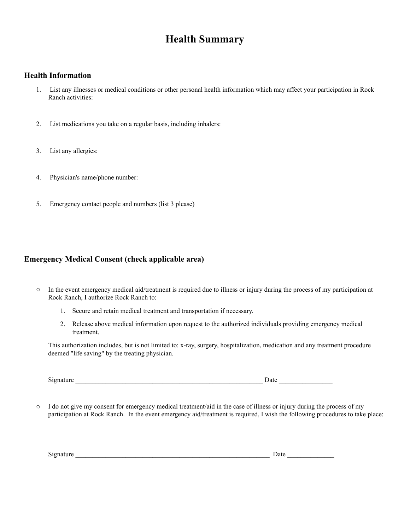# **Health Summary**

### **Health Information**

- 1. List any illnesses or medical conditions or other personal health information which may affect your participation in Rock Ranch activities:
- 2. List medications you take on a regular basis, including inhalers:
- 3. List any allergies:
- 4. Physician's name/phone number:
- 5. Emergency contact people and numbers (list 3 please)

### **Emergency Medical Consent (check applicable area)**

- o In the event emergency medical aid/treatment is required due to illness or injury during the process of my participation at Rock Ranch, I authorize Rock Ranch to:
	- 1. Secure and retain medical treatment and transportation if necessary.
	- 2. Release above medical information upon request to the authorized individuals providing emergency medical treatment.

This authorization includes, but is not limited to: x-ray, surgery, hospitalization, medication and any treatment procedure deemed "life saving" by the treating physician.

Signature Date Date  $\overline{a}$ 

 $\circ$  I do not give my consent for emergency medical treatment/aid in the case of illness or injury during the process of my participation at Rock Ranch. In the event emergency aid/treatment is required, I wish the following procedures to take place:

Signature \_\_\_\_\_\_\_\_\_\_\_\_\_\_\_\_\_\_\_\_\_\_\_\_\_\_\_\_\_\_\_\_\_\_\_\_\_\_\_\_\_\_\_\_\_\_\_\_\_\_\_\_\_\_\_\_\_\_ Date \_\_\_\_\_\_\_\_\_\_\_\_\_\_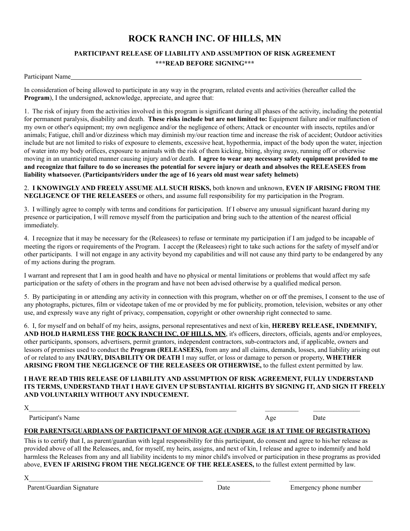# **ROCK RANCH INC. OF HILLS, MN**

### **PARTICIPANT RELEASE OF LIABILITY AND ASSUMPTION OF RISK AGREEMENT \*\*\*READ BEFORE SIGNING\*\*\***

#### Participant Name

In consideration of being allowed to participate in any way in the program, related events and activities (hereafter called the **Program**), I the undersigned, acknowledge, appreciate, and agree that:

1. The risk of injury from the activities involved in this program is significant during all phases of the activity, including the potential for permanent paralysis, disability and death. **These risks include but are not limited to:** Equipment failure and/or malfunction of my own or other's equipment; my own negligence and/or the negligence of others; Attack or encounter with insects, reptiles and/or animals; Fatigue, chill and/or dizziness which may diminish my/our reaction time and increase the risk of accident; Outdoor activities include but are not limited to risks of exposure to elements, excessive heat, hypothermia, impact of the body upon the water, injection of water into my body orifices, exposure to animals with the risk of them kicking, biting, shying away, running off or otherwise moving in an unanticipated manner causing injury and/or death. **I agree to wear any necessary safety equipment provided to me and recognize that failure to do so increases the potential for severe injury or death and absolves the RELEASEES from liability whatsoever. (Participants/riders under the age of 16 years old must wear safety helmets)** 

2. **I KNOWINGLY AND FREELY ASSUME ALL SUCH RISKS,** both known and unknown, **EVEN IF ARISING FROM THE NEGLIGENCE OF THE RELEASEES** or others, and assume full responsibility for my participation in the Program.

3. I willingly agree to comply with terms and conditions for participation. If I observe any unusual significant hazard during my presence or participation, I will remove myself from the participation and bring such to the attention of the nearest official immediately.

4. I recognize that it may be necessary for the (Releasees) to refuse or terminate my participation if I am judged to be incapable of meeting the rigors or requirements of the Program. I accept the (Releasees) right to take such actions for the safety of myself and/or other participants. I will not engage in any activity beyond my capabilities and will not cause any third party to be endangered by any of my actions during the program.

I warrant and represent that I am in good health and have no physical or mental limitations or problems that would affect my safe participation or the safety of others in the program and have not been advised otherwise by a qualified medical person.

5. By participating in or attending any activity in connection with this program, whether on or off the premises, I consent to the use of any photographs, pictures, film or videotape taken of me or provided by me for publicity, promotion, television, websites or any other use, and expressly wave any right of privacy, compensation, copyright or other ownership right connected to same.

6. I, for myself and on behalf of my heirs, assigns, personal representatives and next of kin, **HEREBY RELEASE, INDEMNIFY,**  AND HOLD HARMLESS THE ROCK RANCH INC. OF HILLS, MN, it's officers, directors, officials, agents and/or employees, other participants, sponsors, advertisers, permit grantors, independent contractors, sub-contractors and, if applicable, owners and lessors of premises used to conduct the **Program (RELEASEES),** from any and all claims, demands, losses, and liability arising out of or related to any **INJURY, DISABILITY OR DEATH** I may suffer, or loss or damage to person or property, **WHETHER ARISING FROM THE NEGLIGENCE OF THE RELEASEES OR OTHERWISE,** to the fullest extent permitted by law.

#### **I HAVE READ THIS RELEASE OF LIABILITY AND ASSUMPTION OF RISK AGREEMENT, FULLY UNDERSTAND ITS TERMS, UNDERSTAND THAT I HAVE GIVEN UP SUBSTANTIAL RIGHTS BY SIGNING IT, AND SIGN IT FREELY AND VOLUNTARILY WITHOUT ANY INDUCEMENT.**

 $X$ 

Participant's Name Date Date Date Age Date

#### **FOR PARENTS/GUARDIANS OF PARTICIPANT OF MINOR AGE (UNDER AGE 18 AT TIME OF REGISTRATION)**

This is to certify that I, as parent/guardian with legal responsibility for this participant, do consent and agree to his/her release as provided above of all the Releasees, and, for myself, my heirs, assigns, and next of kin, I release and agree to indemnify and hold harmless the Releases from any and all liability incidents to my minor child's involved or participation in these programs as provided above, **EVEN IF ARISING FROM THE NEGLIGENCE OF THE RELEASEES,** to the fullest extent permitted by law.

 $X_\perp$  , and the contract of the contract of the contract of the contract of the contract of the contract of the contract of the contract of the contract of the contract of the contract of the contract of the contract of